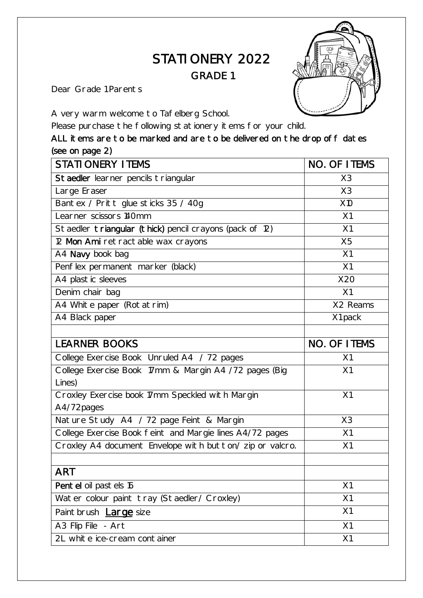## STATIONERY 2022 GRADE 1

Dear Grade 1 Parents

A very warm welcome to Tafelberg School.

Please purchase the following stationery items for your child.

ALL items are to be marked and are to be delivered on the drop off dates (see on page 2)

| <b>STATIONERY ITEMS</b>                                  | NO. OF ITEMS        |
|----------------------------------------------------------|---------------------|
| Staedler learner pencils triangular                      | X3                  |
| Large Eraser                                             | X3                  |
| Bantex / Pritt glue sticks 35 / 40g                      | X10                 |
| Learner scissors 140mm                                   | X1                  |
| Staedler triangular (thick) pencil crayons (pack of 12)  | X1                  |
| 12 Mon Ami retractable wax crayons                       | X <sub>5</sub>      |
| A4 Navy book bag                                         | X1                  |
| Penflex permanent marker (black)                         | X1                  |
| A4 plastic sleeves                                       | X20                 |
| Denim chair bag                                          | X1                  |
| A4 White paper (Rotatrim)                                | X2 Reams            |
| A4 Black paper                                           | X1 pack             |
|                                                          |                     |
| <b>LEARNER BOOKS</b>                                     | <b>NO. OF ITEMS</b> |
| College Exercise Book Unruled A4 / 72 pages              | X1                  |
| College Exercise Book 17mm & Margin A4 /72 pages (Big    | X1                  |
| Lines)                                                   |                     |
| Croxley Exercise book 17mm Speckled with Margin          | X1                  |
| A4/72pages                                               |                     |
| Nature Study A4 / 72 page Feint & Margin                 | X3                  |
| College Exercise Book feint and Margie lines A4/72 pages | X1                  |
| Croxley A4 document Envelope with button/ zip or valcro. | X1                  |
|                                                          |                     |
| <b>ART</b>                                               |                     |
| Pentel oil pastels 16                                    | X1                  |
| Water colour paint tray (Staedler/ Croxley)              | X1                  |
| Paintbrush <b>Large</b> size                             | X1                  |
| A3 Flip File - Art                                       | X1                  |
| 2L white ice-cream container                             | X1                  |